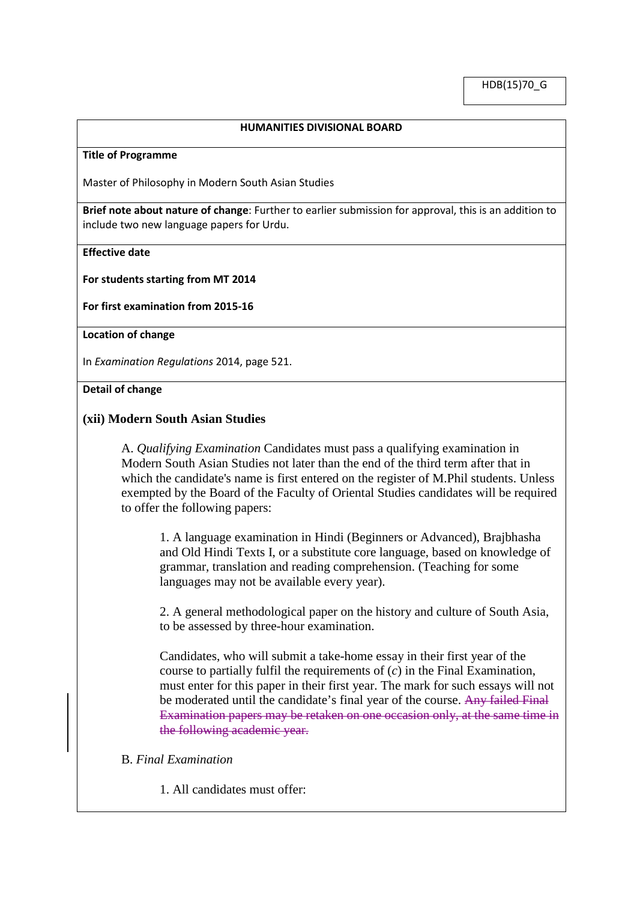HDB(15)70\_G

### **HUMANITIES DIVISIONAL BOARD**

#### **Title of Programme**

Master of Philosophy in Modern South Asian Studies

**Brief note about nature of change**: Further to earlier submission for approval, this is an addition to include two new language papers for Urdu.

# **Effective date**

**For students starting from MT 2014**

**For first examination from 2015-16**

### **Location of change**

In *Examination Regulations* 2014, page 521.

#### **Detail of change**

# **(xii) Modern South Asian Studies**

A. *Qualifying Examination* Candidates must pass a qualifying examination in Modern South Asian Studies not later than the end of the third term after that in which the candidate's name is first entered on the register of M.Phil students. Unless exempted by the Board of the Faculty of Oriental Studies candidates will be required to offer the following papers:

1. A language examination in Hindi (Beginners or Advanced), Brajbhasha and Old Hindi Texts I, or a substitute core language, based on knowledge of grammar, translation and reading comprehension. (Teaching for some languages may not be available every year).

2. A general methodological paper on the history and culture of South Asia, to be assessed by three-hour examination.

Candidates, who will submit a take-home essay in their first year of the course to partially fulfil the requirements of (*c*) in the Final Examination, must enter for this paper in their first year. The mark for such essays will not be moderated until the candidate's final year of the course. Any failed Final Examination papers may be retaken on one occasion only, at the same time in the following academic year.

### B. *Final Examination*

1. All candidates must offer: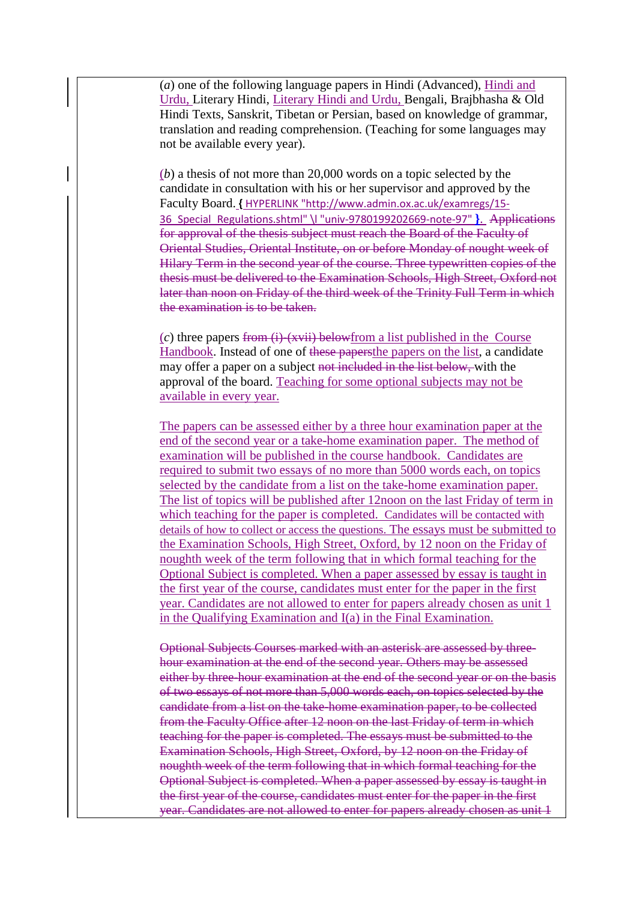(*a*) one of the following language papers in Hindi (Advanced), Hindi and Urdu, Literary Hindi, Literary Hindi and Urdu, Bengali, Brajbhasha & Old Hindi Texts, Sanskrit, Tibetan or Persian, based on knowledge of grammar, translation and reading comprehension. (Teaching for some languages may not be available every year).

(*b*) a thesis of not more than 20,000 words on a topic selected by the candidate in consultation with his or her supervisor and approved by the Faculty Board. **{** [HYPERLINK "http://www.admin.ox.ac.uk/examregs/15-](http://www.admin.ox.ac.uk/examregs/15-36_Special_Regulations.shtml%23univ-9780199202669-note-97) [36\\_Special\\_Regulations.shtml" \l "univ-9780199202669-note-97"](http://www.admin.ox.ac.uk/examregs/15-36_Special_Regulations.shtml%23univ-9780199202669-note-97) **}**. Applications for approval of the thesis subject must reach the Board of the Faculty of Oriental Studies, Oriental Institute, on or before Monday of nought week of Hilary Term in the second year of the course. Three typewritten copies of the thesis must be delivered to the Examination Schools, High Street, Oxford not later than noon on Friday of the third week of the Trinity Full Term in which the examination is to be taken.

(*c*) three papers from (i)-(xvii) belowfrom a list published in the Course Handbook. Instead of one of these papersthe papers on the list, a candidate may offer a paper on a subject not included in the list below, with the approval of the board. Teaching for some optional subjects may not be available in every year.

The papers can be assessed either by a three hour examination paper at the end of the second year or a take-home examination paper. The method of examination will be published in the course handbook. Candidates are required to submit two essays of no more than 5000 words each, on topics selected by the candidate from a list on the take-home examination paper. The list of topics will be published after 12noon on the last Friday of term in which teaching for the paper is completed. Candidates will be contacted with details of how to collect or access the questions. The essays must be submitted to the Examination Schools, High Street, Oxford, by 12 noon on the Friday of noughth week of the term following that in which formal teaching for the Optional Subject is completed. When a paper assessed by essay is taught in the first year of the course, candidates must enter for the paper in the first year. Candidates are not allowed to enter for papers already chosen as unit 1 in the Qualifying Examination and I(a) in the Final Examination.

Optional Subjects Courses marked with an asterisk are assessed by threehour examination at the end of the second year. Others may be assessed either by three-hour examination at the end of the second year or on the basis of two essays of not more than 5,000 words each, on topics selected by the candidate from a list on the take-home examination paper, to be collected from the Faculty Office after 12 noon on the last Friday of term in which teaching for the paper is completed. The essays must be submitted to the Examination Schools, High Street, Oxford, by 12 noon on the Friday of noughth week of the term following that in which formal teaching for the Optional Subject is completed. When a paper assessed by essay is taught in the first year of the course, candidates must enter for the paper in the first year. Candidates are not allowed to enter for papers already chosen as unit 1